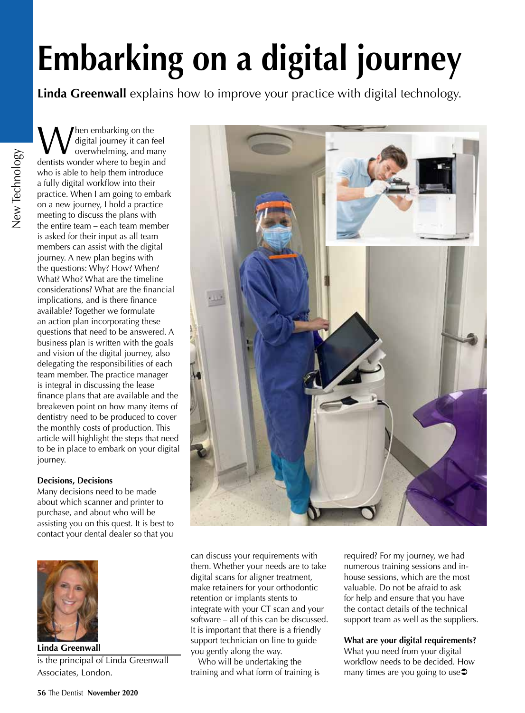# **Embarking on a digital journey**

**Linda Greenwall** explains how to improve your practice with digital technology.

When embarking on the<br>
overwhelming, and many<br>
dentists wonder where to begin and digital journey it can feel dentists wonder where to begin and who is able to help them introduce a fully digital workflow into their practice. When I am going to embark on a new journey, I hold a practice meeting to discuss the plans with the entire team – each team member is asked for their input as all team members can assist with the digital journey. A new plan begins with the questions: Why? How? When? What? Who? What are the timeline considerations? What are the financial implications, and is there finance available? Together we formulate an action plan incorporating these questions that need to be answered. A business plan is written with the goals and vision of the digital journey, also delegating the responsibilities of each team member. The practice manager is integral in discussing the lease finance plans that are available and the breakeven point on how many items of dentistry need to be produced to cover the monthly costs of production. This article will highlight the steps that need to be in place to embark on your digital journey.

## **Decisions, Decisions**

Many decisions need to be made about which scanner and printer to purchase, and about who will be assisting you on this quest. It is best to contact your dental dealer so that you



**Linda Greenwall** is the principal of Linda Greenwall Associates, London.



can discuss your requirements with them. Whether your needs are to take digital scans for aligner treatment, make retainers for your orthodontic retention or implants stents to integrate with your CT scan and your software – all of this can be discussed. It is important that there is a friendly support technician on line to guide you gently along the way.

Who will be undertaking the training and what form of training is

required? For my journey, we had numerous training sessions and inhouse sessions, which are the most valuable. Do not be afraid to ask for help and ensure that you have the contact details of the technical support team as well as the suppliers.

## **What are your digital requirements?** What you need from your digital workflow needs to be decided. How many times are you going to use $\supset$